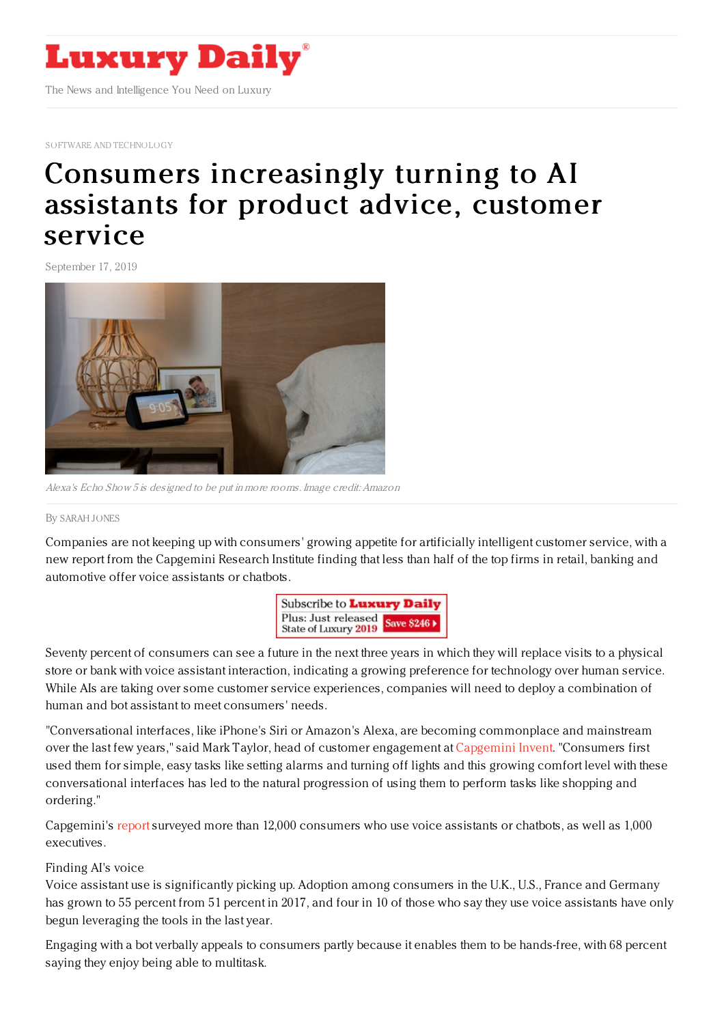

SOFTWARE AND [TECHNOLOGY](https://www.luxurydaily.com/category/sectors/software-and-technology-industry-sectors/)

## Consumers [increasingly](https://www.luxurydaily.com/voice-assistants-poised-to-replace-in-person-customer-service/) turning to AI assistants for product advice, customer service

September 17, 2019



Alexa's Echo Show 5 is designed to be put in more rooms. Image credit: Amazon

## By [SARAH](file:///author/sarah-jones) JONES

Companies are not keeping up with consumers' growing appetite for artificially intelligent customer service, with a new report from the Capgemini Research Institute finding that less than half of the top firms in retail, banking and automotive offer voice assistants or chatbots.



Seventy percent of consumers can see a future in the next three years in which they will replace visits to a physical store or bank with voice assistant interaction, indicating a growing preference for technology over human service. While AIs are taking over some customer service experiences, companies will need to deploy a combination of human and bot assistant to meet consumers' needs.

"Conversational interfaces, like iPhone's Siri or Amazon's Alexa, are becoming commonplace and mainstream over the last few years," said Mark Taylor, head of customer engagement at [Capgemini](https://c212.net/c/link/?t=0&l=en&o=2570006-1&h=191187054&u=https%253A%252F%252Fwww.capgemini.com%252Fservice%252Finvent%252F&a=Capgemini+Invent) Invent. "Consumers first used them for simple, easy tasks like setting alarms and turning off lights and this growing comfort level with these conversational interfaces has led to the natural progression of using them to perform tasks like shopping and ordering."

Capgemini's [report](https://www.capgemini.com/research/smart-talk/?utm_source=pr&utm_medium=referral&utm_content=dcx_none_link_pressrelease_none&utm_campaign=cx_cri_conversational_interfaces) surveyed more than 12,000 consumers who use voice assistants or chatbots, as well as 1,000 executives.

## Finding AI's voice

Voice assistant use is significantly picking up. Adoption among consumers in the U.K., U.S., France and Germany has grown to 55 percent from 51 percent in 2017, and four in 10 of those who say they use voice assistants have only begun leveraging the tools in the last year.

Engaging with a bot verbally appeals to consumers partly because it enables them to be hands-free, with 68 percent saying they enjoy being able to multitask.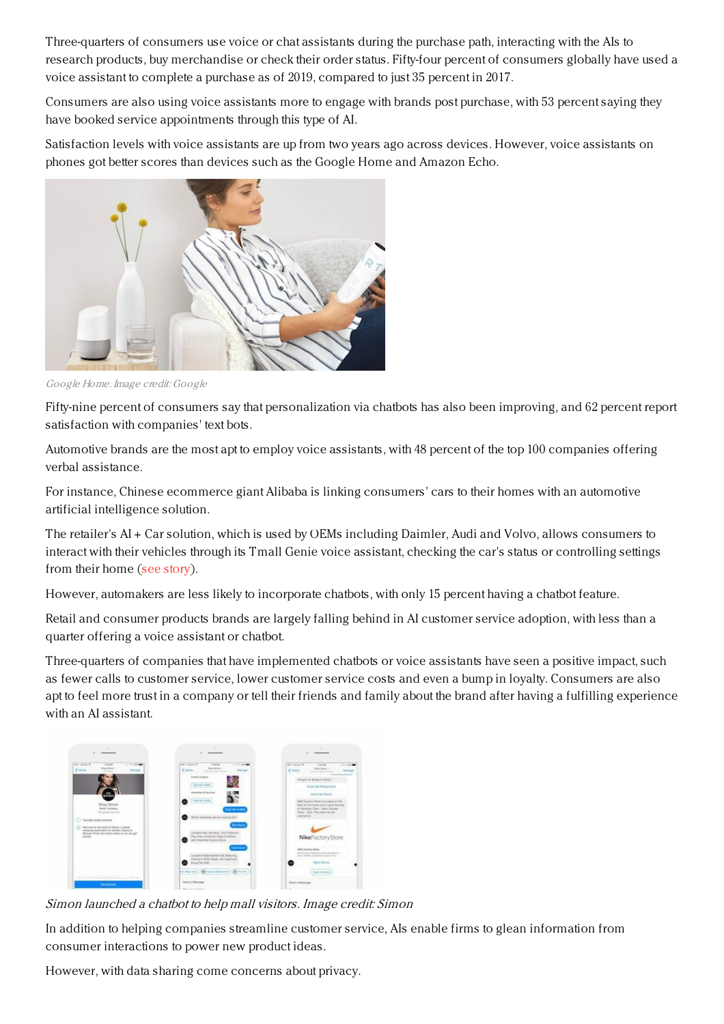Three-quarters of consumers use voice or chat assistants during the purchase path, interacting with the AIs to research products, buy merchandise or check their order status. Fifty-four percent of consumers globally have used a voice assistant to complete a purchase as of 2019, compared to just 35 percent in 2017.

Consumers are also using voice assistants more to engage with brands post purchase, with 53 percent saying they have booked service appointments through this type of AI.

Satisfaction levels with voice assistants are up from two years ago across devices. However, voice assistants on phones got better scores than devices such as the Google Home and Amazon Echo.



Google Home. Image credit: Google

Fifty-nine percent of consumers say that personalization via chatbots has also been improving, and 62 percent report satisfaction with companies' text bots.

Automotive brands are the most apt to employ voice assistants, with 48 percent of the top 100 companies offering verbal assistance.

For instance, Chinese ecommerce giant Alibaba is linking consumers' cars to their homes with an automotive artificial intelligence solution.

The retailer's AI + Car solution, which is used by OEMs including Daimler, Audi and Volvo, allows consumers to interact with their vehicles through its Tmall Genie voice assistant, checking the car's status or controlling settings from their home (see [story](https://www.luxurydaily.com/tmall-connects-mercedes-audi-cars-with-ai-integration/)).

However, automakers are less likely to incorporate chatbots, with only 15 percent having a chatbot feature.

Retail and consumer products brands are largely falling behind in AI customer service adoption, with less than a quarter offering a voice assistant or chatbot.

Three-quarters of companies that have implemented chatbots or voice assistants have seen a positive impact, such as fewer calls to customer service, lower customer service costs and even a bump in loyalty. Consumers are also apt to feel more trust in a company or tell their friends and family about the brand after having a fulfilling experience with an AI assistant.



Simon launched <sup>a</sup> chatbot to help mall visitors. Image credit: Simon

In addition to helping companies streamline customer service, AIs enable firms to glean information from consumer interactions to power new product ideas.

However, with data sharing come concerns about privacy.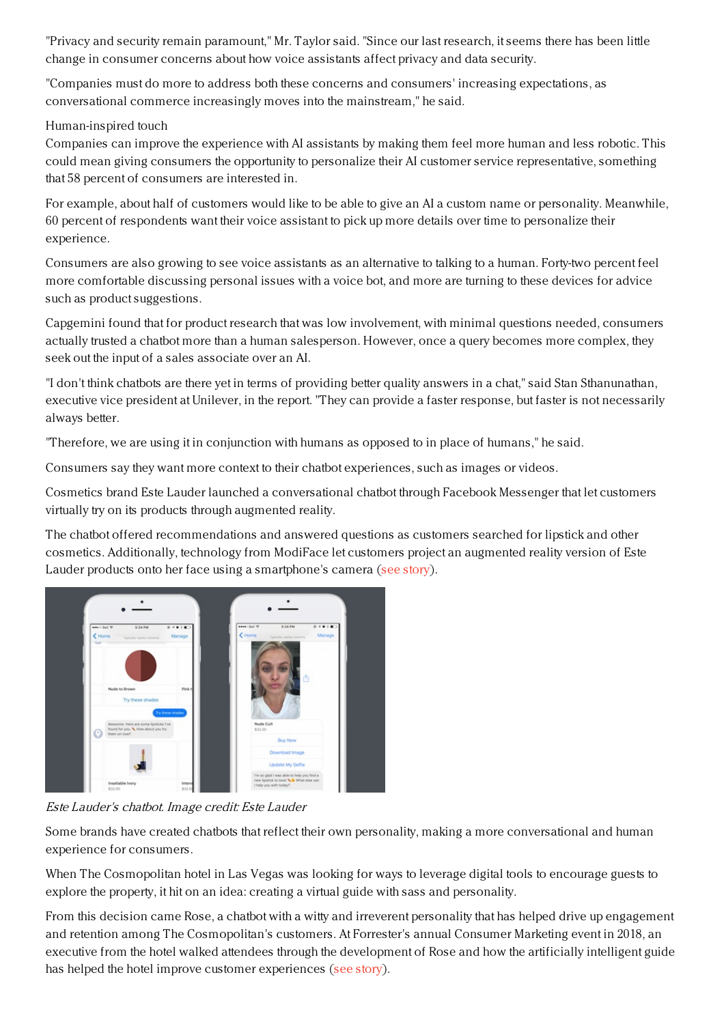"Privacy and security remain paramount," Mr. Taylor said. "Since our last research, it seems there has been little change in consumer concerns about how voice assistants affect privacy and data security.

"Companies must do more to address both these concerns and consumers' increasing expectations, as conversational commerce increasingly moves into the mainstream," he said.

Human-inspired touch

Companies can improve the experience with AI assistants by making them feel more human and less robotic. This could mean giving consumers the opportunity to personalize their AI customer service representative, something that 58 percent of consumers are interested in.

For example, about half of customers would like to be able to give an AI a custom name or personality. Meanwhile, 60 percent of respondents want their voice assistant to pick up more details over time to personalize their experience.

Consumers are also growing to see voice assistants as an alternative to talking to a human. Forty-two percent feel more comfortable discussing personal issues with a voice bot, and more are turning to these devices for advice such as product suggestions.

Capgemini found that for product research that was low involvement, with minimal questions needed, consumers actually trusted a chatbot more than a human salesperson. However, once a query becomes more complex, they seek out the input of a sales associate over an AI.

"I don't think chatbots are there yet in terms of providing better quality answers in a chat," said Stan Sthanunathan, executive vice president at Unilever, in the report. "They can provide a faster response, but faster is not necessarily always better.

"Therefore, we are using it in conjunction with humans as opposed to in place of humans," he said.

Consumers say they want more context to their chatbot experiences, such as images or videos.

Cosmetics brand Este Lauder launched a conversational chatbot through Facebook Messenger that let customers virtually try on its products through augmented reality.

The chatbot offered recommendations and answered questions as customers searched for lipstick and other cosmetics. Additionally, technology from ModiFace let customers project an augmented reality version of Este Lauder products onto her face using a smartphone's camera (see [story](https://www.luxurydaily.com/estee-lauder-debuts-ar-chatbot-for-lipstick-lovers/)).



Este Lauder's chatbot. Image credit: Este Lauder

Some brands have created chatbots that reflect their own personality, making a more conversational and human experience for consumers.

When The Cosmopolitan hotel in Las Vegas was looking for ways to leverage digital tools to encourage guests to explore the property, it hit on an idea: creating a virtual guide with sass and personality.

From this decision came Rose, a chatbot with a witty and irreverent personality that has helped drive up engagement and retention among The Cosmopolitan's customers. At Forrester's annual Consumer Marketing event in 2018, an executive from the hotel walked attendees through the development of Rose and how the artificially intelligent guide has helped the hotel improve customer experiences (see [story](https://www.luxurydaily.com/the-cosmopolitans-sassy-chatbot-shows-customers-a-good-time/)).